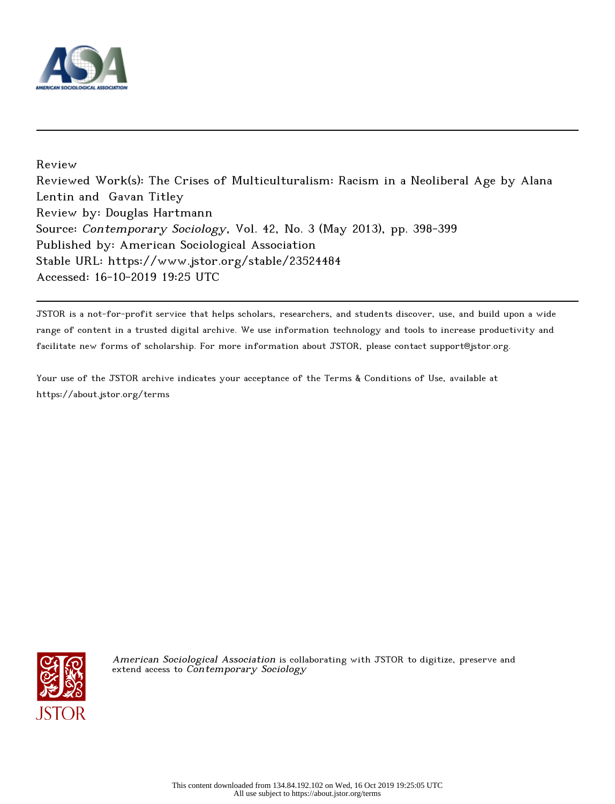

Review Reviewed Work(s): The Crises of Multiculturalism: Racism in a Neoliberal Age by Alana Lentin and Gavan Titley Review by: Douglas Hartmann Source: Contemporary Sociology, Vol. 42, No. 3 (May 2013), pp. 398-399 Published by: American Sociological Association Stable URL: https://www.jstor.org/stable/23524484 Accessed: 16-10-2019 19:25 UTC

JSTOR is a not-for-profit service that helps scholars, researchers, and students discover, use, and build upon a wide range of content in a trusted digital archive. We use information technology and tools to increase productivity and facilitate new forms of scholarship. For more information about JSTOR, please contact support@jstor.org.

Your use of the JSTOR archive indicates your acceptance of the Terms & Conditions of Use, available at https://about.jstor.org/terms



American Sociological Association is collaborating with JSTOR to digitize, preserve and extend access to Contemporary Sociology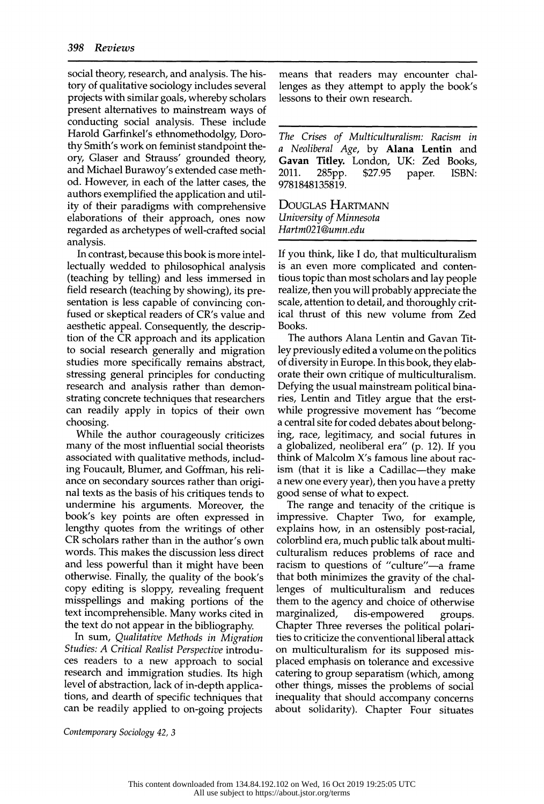social theory, research, and analysis. The his tory of qualitative sociology includes several projects with similar goals, whereby scholars present alternatives to mainstream ways of conducting social analysis. These include Harold Garfinkel's ethnomethodolgy, Doro thy Smith's work on feminist standpoint the ory, Glaser and Strauss' grounded theory, and Michael Burawoy's extended case meth- 2011. 285pp. od. However, in each of the latter cases, the authors exemplified the application and util ity of their paradigms with comprehensive elaborations of their approach, ones now regarded as archetypes of well-crafted social analysis.

 In contrast, because this book is more intel lectually wedded to philosophical analysis (teaching by telling) and less immersed in field research (teaching by showing), its pre sentation is less capable of convincing con fused or skeptical readers of CR's value and aesthetic appeal. Consequently, the descrip tion of the CR approach and its application to social research generally and migration studies more specifically remains abstract, stressing general principles for conducting research and analysis rather than demon strating concrete techniques that researchers can readily apply in topics of their own choosing.

 While the author courageously criticizes many of the most influential social theorists associated with qualitative methods, includ ing Foucault, Blumer, and Goffman, his reli ance on secondary sources rather than origi nal texts as the basis of his critiques tends to undermine his arguments. Moreover, the book's key points are often expressed in lengthy quotes from the writings of other CR scholars rather than in the author's own words. This makes the discussion less direct and less powerful than it might have been otherwise. Finally, the quality of the book's copy editing is sloppy, revealing frequent misspellings and making portions of the text incomprehensible. Many works cited in the text do not appear in the bibliography.

 In sum, Qualitative Methods in Migration Studies: A Critical Realist Perspective introdu ces readers to a new approach to social research and immigration studies. Its high level of abstraction, lack of in-depth applica tions, and dearth of specific techniques that can be readily applied to on-going projects

 means that readers may encounter chal lenges as they attempt to apply the book's lessons to their own research.

 The Crises of Multiculturalism: Racism in a Neoliberal Age, by Alana Lentin and Gavan Titley. London, UK: Zed Books,<br>2011. 285pp. \$27.95 paper. ISBN: 2011. 285pp. \$27.95 paper. ISBN:<br>0701010105010 9781848135819.

 Douglas Hartmann University of Minnesota Hartm021@umn.edu

 If you think, like I do, that multiculturalism is an even more complicated and conten tious topic than most scholars and lay people realize, then you will probably appreciate the scale, attention to detail, and thoroughly crit ical thrust of this new volume from Zed Books.

 The authors Alana Lentin and Gavan Tit ley previously edited a volume on the politics of diversity in Europe. In this book, they elab orate their own critique of multiculturalism. Defying the usual mainstream political bina ries, Lentin and Titley argue that the erst while progressive movement has "become a central site for coded debates about belong ing, race, legitimacy, and social futures in a globalized, neoliberal era" (p. 12). If you think of Malcolm X's famous line about rac ism (that it is like a Cadillac—they make a new one every year), then you have a pretty good sense of what to expect.

 The range and tenacity of the critique is impressive. Chapter Two, for example, explains how, in an ostensibly post-racial, colorblind era, much public talk about multi culturalism reduces problems of race and racism to questions of "culture"—a frame that both minimizes the gravity of the chal lenges of multiculturalism and reduces them to the agency and choice of otherwise<br>marginalized, dis-empowered groups. dis-empowered groups. Chapter Three reverses the political polari ties to criticize the conventional liberal attack on multiculturalism for its supposed mis placed emphasis on tolerance and excessive catering to group separatism (which, among other things, misses the problems of social inequality that should accompany concerns about solidarity). Chapter Four situates

Contemporary Sociology 42, 3